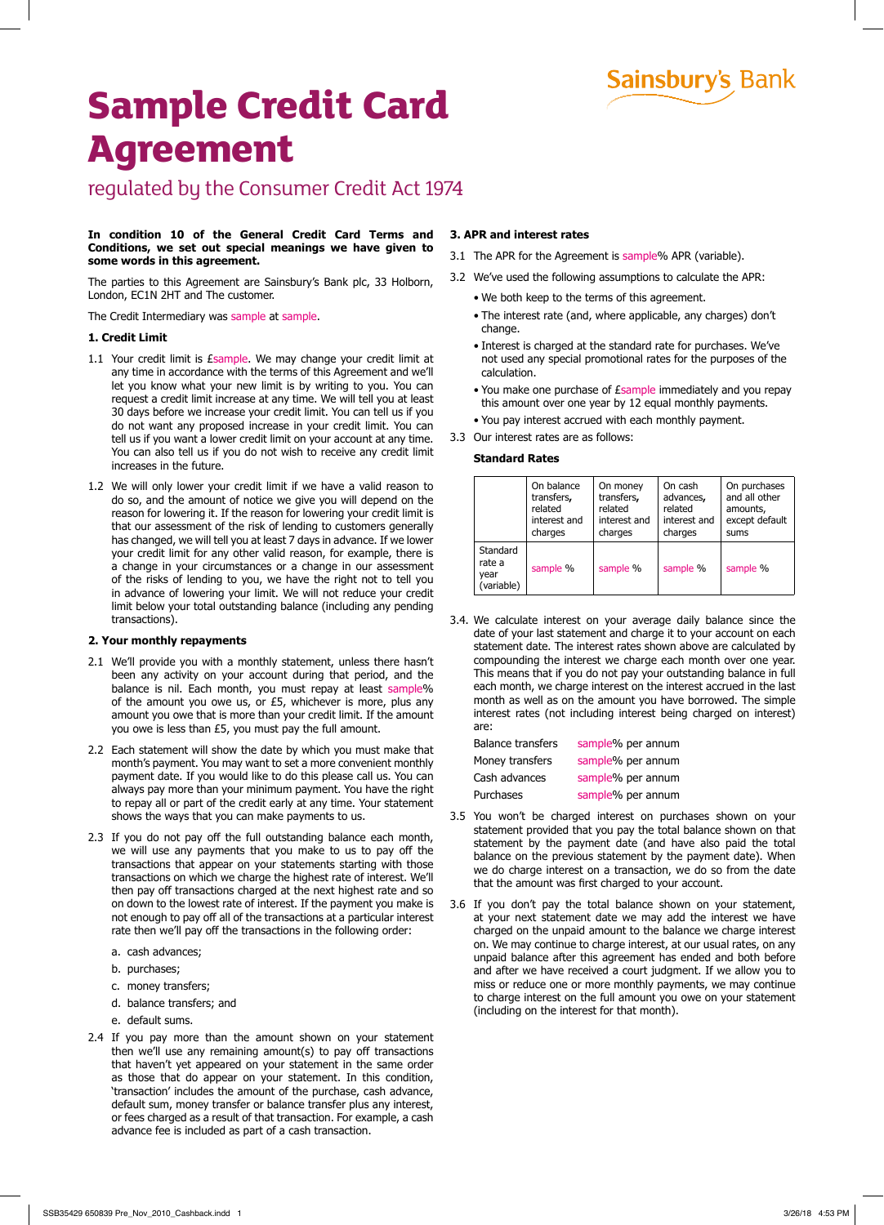**Sainsbury's Bank** 

# **Sample Credit Card Agreement**

regulated by the Consumer Credit Act 1974

# **In condition 10 of the General Credit Card Terms and Conditions, we set out special meanings we have given to some words in this agreement.**

The parties to this Agreement are Sainsbury's Bank plc, 33 Holborn, London, EC1N 2HT and The customer.

The Credit Intermediary was sample at sample.

# **1. Credit Limit**

- 1.1 Your credit limit is *Esample*. We may change your credit limit at any time in accordance with the terms of this Agreement and we'll let you know what your new limit is by writing to you. You can request a credit limit increase at any time. We will tell you at least 30 days before we increase your credit limit. You can tell us if you do not want any proposed increase in your credit limit. You can tell us if you want a lower credit limit on your account at any time. You can also tell us if you do not wish to receive any credit limit increases in the future.
- 1.2 We will only lower your credit limit if we have a valid reason to do so, and the amount of notice we give you will depend on the reason for lowering it. If the reason for lowering your credit limit is that our assessment of the risk of lending to customers generally has changed, we will tell you at least 7 days in advance. If we lower your credit limit for any other valid reason, for example, there is a change in your circumstances or a change in our assessment of the risks of lending to you, we have the right not to tell you in advance of lowering your limit. We will not reduce your credit limit below your total outstanding balance (including any pending transactions).

# **2. Your monthly repayments**

- 2.1 We'll provide you with a monthly statement, unless there hasn't been any activity on your account during that period, and the balance is nil. Each month, you must repay at least sample% of the amount you owe us, or £5, whichever is more, plus any amount you owe that is more than your credit limit. If the amount you owe is less than £5, you must pay the full amount.
- 2.2 Each statement will show the date by which you must make that month's payment. You may want to set a more convenient monthly payment date. If you would like to do this please call us. You can always pay more than your minimum payment. You have the right to repay all or part of the credit early at any time. Your statement shows the ways that you can make payments to us.
- 2.3 If you do not pay off the full outstanding balance each month, we will use any payments that you make to us to pay off the transactions that appear on your statements starting with those transactions on which we charge the highest rate of interest. We'll then pay off transactions charged at the next highest rate and so on down to the lowest rate of interest. If the payment you make is not enough to pay off all of the transactions at a particular interest rate then we'll pay off the transactions in the following order:
	- a. cash advances;
	- b. purchases;
	- c. money transfers;
	- d. balance transfers; and
	- e. default sums.
- 2.4 If you pay more than the amount shown on your statement then we'll use any remaining amount(s) to pay off transactions that haven't yet appeared on your statement in the same order as those that do appear on your statement. In this condition, 'transaction' includes the amount of the purchase, cash advance, default sum, money transfer or balance transfer plus any interest, or fees charged as a result of that transaction. For example, a cash advance fee is included as part of a cash transaction.

## **3. APR and interest rates**

- 3.1 The APR for the Agreement is sample% APR (variable).
- 3.2 We've used the following assumptions to calculate the APR:
	- We both keep to the terms of this agreement.
	- The interest rate (and, where applicable, any charges) don't change.
	- Interest is charged at the standard rate for purchases. We've not used any special promotional rates for the purposes of the calculation.
	- You make one purchase of *Esample* immediately and you repay this amount over one year by 12 equal monthly payments.
	- You pay interest accrued with each monthly payment.
- 3.3 Our interest rates are as follows:

# **Standard Rates**

|                                          | On balance   | On money     | On cash      | On purchases   |
|------------------------------------------|--------------|--------------|--------------|----------------|
|                                          | transfers,   | transfers,   | advances,    | and all other  |
|                                          | related      | related      | related      | amounts,       |
|                                          | interest and | interest and | interest and | except default |
|                                          | charges      | charges      | charges      | sums           |
| Standard<br>rate a<br>year<br>(variable) | sample %     | sample %     | sample %     | sample %       |

3.4. We calculate interest on your average daily balance since the date of your last statement and charge it to your account on each statement date. The interest rates shown above are calculated by compounding the interest we charge each month over one year. This means that if you do not pay your outstanding balance in full each month, we charge interest on the interest accrued in the last month as well as on the amount you have borrowed. The simple interest rates (not including interest being charged on interest) are:

| sample% per annum |
|-------------------|
| sample% per annum |
| sample% per annum |
| sample% per annum |
|                   |

- 3.5 You won't be charged interest on purchases shown on your statement provided that you pay the total balance shown on that statement by the payment date (and have also paid the total balance on the previous statement by the payment date). When we do charge interest on a transaction, we do so from the date that the amount was first charged to your account.
- 3.6 If you don't pay the total balance shown on your statement, at your next statement date we may add the interest we have charged on the unpaid amount to the balance we charge interest on. We may continue to charge interest, at our usual rates, on any unpaid balance after this agreement has ended and both before and after we have received a court judgment. If we allow you to miss or reduce one or more monthly payments, we may continue to charge interest on the full amount you owe on your statement (including on the interest for that month).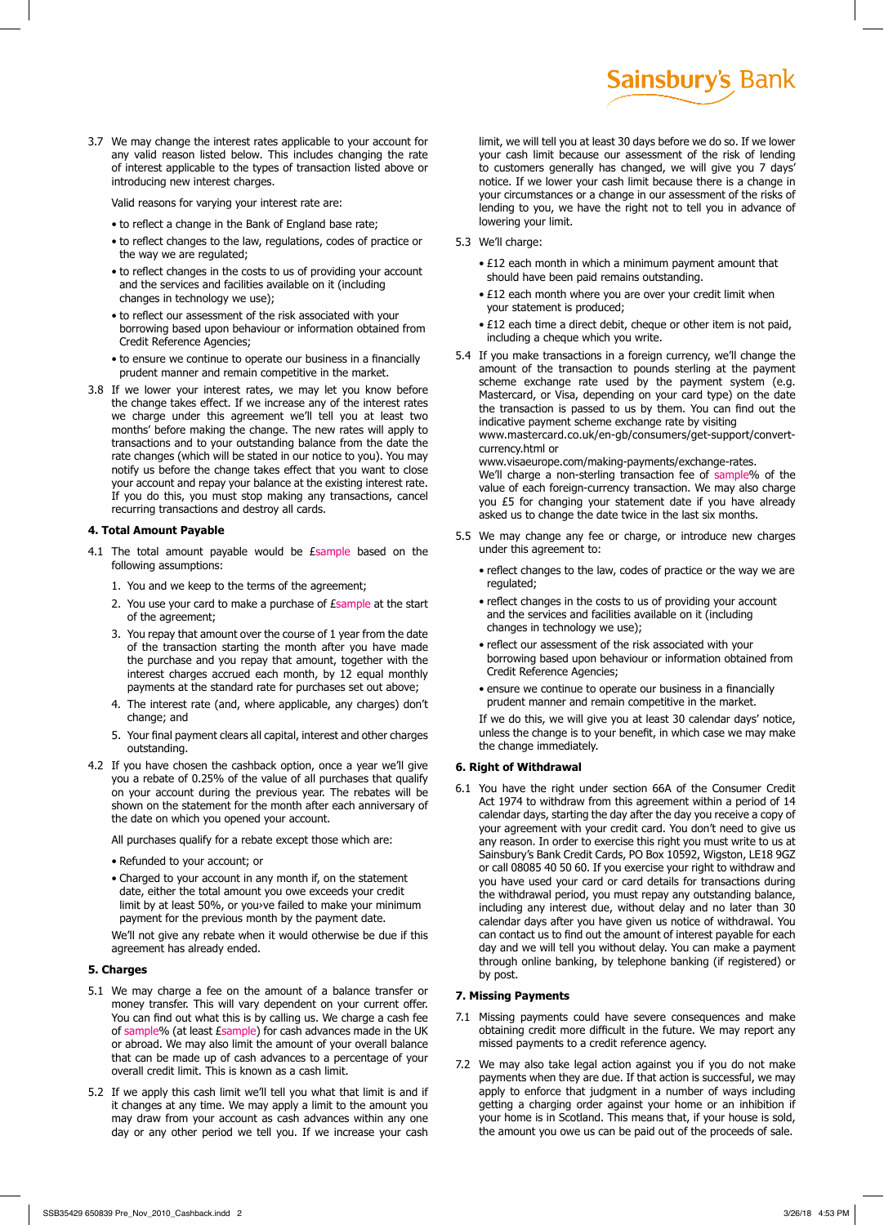3.7 We may change the interest rates applicable to your account for any valid reason listed below. This includes changing the rate of interest applicable to the types of transaction listed above or introducing new interest charges.

Valid reasons for varying your interest rate are:

- to reflect a change in the Bank of England base rate;
- to reflect changes to the law, regulations, codes of practice or the way we are regulated;
- to reflect changes in the costs to us of providing your account and the services and facilities available on it (including changes in technology we use);
- to reflect our assessment of the risk associated with your borrowing based upon behaviour or information obtained from Credit Reference Agencies;
- to ensure we continue to operate our business in a financially prudent manner and remain competitive in the market.
- 3.8 If we lower your interest rates, we may let you know before the change takes effect. If we increase any of the interest rates we charge under this agreement we'll tell you at least two months' before making the change. The new rates will apply to transactions and to your outstanding balance from the date the rate changes (which will be stated in our notice to you). You may notify us before the change takes effect that you want to close your account and repay your balance at the existing interest rate. If you do this, you must stop making any transactions, cancel recurring transactions and destroy all cards.

## **4. Total Amount Payable**

- 4.1 The total amount payable would be Esample based on the following assumptions:
	- 1. You and we keep to the terms of the agreement;
	- 2. You use your card to make a purchase of *Esample* at the start of the agreement;
	- 3. You repay that amount over the course of 1 year from the date of the transaction starting the month after you have made the purchase and you repay that amount, together with the interest charges accrued each month, by 12 equal monthly payments at the standard rate for purchases set out above;
	- 4. The interest rate (and, where applicable, any charges) don't change; and
	- 5. Your final payment clears all capital, interest and other charges outstanding.
- 4.2 If you have chosen the cashback option, once a year we'll give you a rebate of 0.25% of the value of all purchases that qualify on your account during the previous year. The rebates will be shown on the statement for the month after each anniversary of the date on which you opened your account.

All purchases qualify for a rebate except those which are:

- Refunded to your account; or
- Charged to your account in any month if, on the statement date, either the total amount you owe exceeds your credit limit by at least 50%, or you›ve failed to make your minimum payment for the previous month by the payment date.

We'll not give any rebate when it would otherwise be due if this agreement has already ended.

## **5. Charges**

- 5.1 We may charge a fee on the amount of a balance transfer or money transfer. This will vary dependent on your current offer. You can find out what this is by calling us. We charge a cash fee of sample% (at least *Esample*) for cash advances made in the UK or abroad. We may also limit the amount of your overall balance that can be made up of cash advances to a percentage of your overall credit limit. This is known as a cash limit.
- 5.2 If we apply this cash limit we'll tell you what that limit is and if it changes at any time. We may apply a limit to the amount you may draw from your account as cash advances within any one day or any other period we tell you. If we increase your cash

```
Sainsbury's Bank
```
limit, we will tell you at least 30 days before we do so. If we lower your cash limit because our assessment of the risk of lending to customers generally has changed, we will give you 7 days' notice. If we lower your cash limit because there is a change in your circumstances or a change in our assessment of the risks of lending to you, we have the right not to tell you in advance of lowering your limit.

- 5.3 We'll charge:
	- £12 each month in which a minimum payment amount that should have been paid remains outstanding.
	- £12 each month where you are over your credit limit when your statement is produced;
	- £12 each time a direct debit, cheque or other item is not paid, including a cheque which you write.
- 5.4 If you make transactions in a foreign currency, we'll change the amount of the transaction to pounds sterling at the payment scheme exchange rate used by the payment system (e.g. Mastercard, or Visa, depending on your card type) on the date the transaction is passed to us by them. You can find out the indicative payment scheme exchange rate by visiting www.mastercard.co.uk/en-gb/consumers/get-support/convertcurrency.html or

www.visaeurope.com/making-payments/exchange-rates.

We'll charge a non-sterling transaction fee of sample% of the value of each foreign-currency transaction. We may also charge you £5 for changing your statement date if you have already asked us to change the date twice in the last six months.

- 5.5 We may change any fee or charge, or introduce new charges under this agreement to:
	- reflect changes to the law, codes of practice or the way we are regulated;
	- reflect changes in the costs to us of providing your account and the services and facilities available on it (including changes in technology we use);
	- reflect our assessment of the risk associated with your borrowing based upon behaviour or information obtained from Credit Reference Agencies;
	- ensure we continue to operate our business in a financially prudent manner and remain competitive in the market. If we do this, we will give you at least 30 calendar days' notice, unless the change is to your benefit, in which case we may make the change immediately.

#### **6. Right of Withdrawal**

6.1 You have the right under section 66A of the Consumer Credit Act 1974 to withdraw from this agreement within a period of 14 calendar days, starting the day after the day you receive a copy of your agreement with your credit card. You don't need to give us any reason. In order to exercise this right you must write to us at Sainsbury's Bank Credit Cards, PO Box 10592, Wigston, LE18 9GZ or call 08085 40 50 60. If you exercise your right to withdraw and you have used your card or card details for transactions during the withdrawal period, you must repay any outstanding balance, including any interest due, without delay and no later than 30 calendar days after you have given us notice of withdrawal. You can contact us to find out the amount of interest payable for each day and we will tell you without delay. You can make a payment through online banking, by telephone banking (if registered) or by post.

### **7. Missing Payments**

- 7.1 Missing payments could have severe consequences and make obtaining credit more difficult in the future. We may report any missed payments to a credit reference agency.
- 7.2 We may also take legal action against you if you do not make payments when they are due. If that action is successful, we may apply to enforce that judgment in a number of ways including getting a charging order against your home or an inhibition if your home is in Scotland. This means that, if your house is sold, the amount you owe us can be paid out of the proceeds of sale.